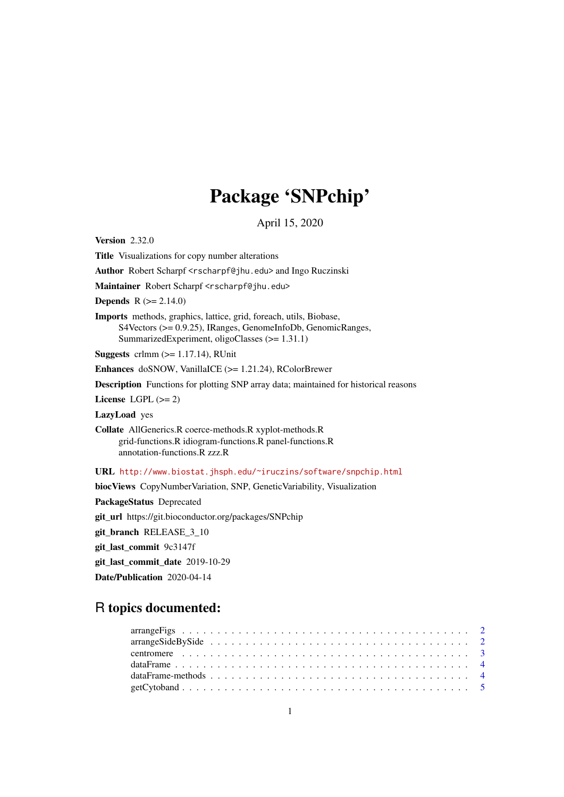# Package 'SNPchip'

April 15, 2020

<span id="page-0-0"></span>Version 2.32.0

Title Visualizations for copy number alterations

Author Robert Scharpf <rscharpf@jhu.edu> and Ingo Ruczinski

Maintainer Robert Scharpf <rscharpf@jhu.edu>

**Depends** R  $(>= 2.14.0)$ 

Imports methods, graphics, lattice, grid, foreach, utils, Biobase, S4Vectors (>= 0.9.25), IRanges, GenomeInfoDb, GenomicRanges, SummarizedExperiment, oligoClasses (>= 1.31.1)

Suggests crlmm  $(>= 1.17.14)$ , RUnit

Enhances doSNOW, VanillaICE (>= 1.21.24), RColorBrewer

Description Functions for plotting SNP array data; maintained for historical reasons

License LGPL  $(>= 2)$ 

LazyLoad yes

Collate AllGenerics.R coerce-methods.R xyplot-methods.R grid-functions.R idiogram-functions.R panel-functions.R annotation-functions.R zzz.R

URL <http://www.biostat.jhsph.edu/~iruczins/software/snpchip.html>

biocViews CopyNumberVariation, SNP, GeneticVariability, Visualization

PackageStatus Deprecated

git\_url https://git.bioconductor.org/packages/SNPchip

git\_branch RELEASE\_3\_10

git\_last\_commit 9c3147f

git\_last\_commit\_date 2019-10-29

Date/Publication 2020-04-14

# R topics documented: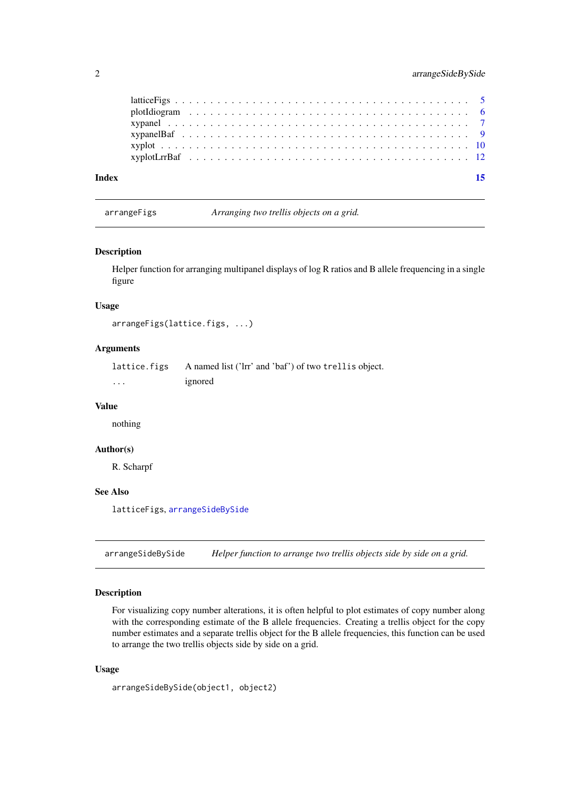<span id="page-1-0"></span>

| Index |  |  |  |  |  |  |  |  |  |  |  |  |  |  |  |  |  |  |  |  |  |
|-------|--|--|--|--|--|--|--|--|--|--|--|--|--|--|--|--|--|--|--|--|--|
|       |  |  |  |  |  |  |  |  |  |  |  |  |  |  |  |  |  |  |  |  |  |
|       |  |  |  |  |  |  |  |  |  |  |  |  |  |  |  |  |  |  |  |  |  |
|       |  |  |  |  |  |  |  |  |  |  |  |  |  |  |  |  |  |  |  |  |  |
|       |  |  |  |  |  |  |  |  |  |  |  |  |  |  |  |  |  |  |  |  |  |
|       |  |  |  |  |  |  |  |  |  |  |  |  |  |  |  |  |  |  |  |  |  |
|       |  |  |  |  |  |  |  |  |  |  |  |  |  |  |  |  |  |  |  |  |  |

arrangeFigs *Arranging two trellis objects on a grid.*

#### Description

Helper function for arranging multipanel displays of log R ratios and B allele frequencing in a single figure

# Usage

```
arrangeFigs(lattice.figs, ...)
```
# Arguments

lattice.figs A named list ('lrr' and 'baf') of two trellis object. ... ignored

#### Value

nothing

#### Author(s)

R. Scharpf

# See Also

latticeFigs, [arrangeSideBySide](#page-1-1)

<span id="page-1-1"></span>arrangeSideBySide *Helper function to arrange two trellis objects side by side on a grid.*

#### Description

For visualizing copy number alterations, it is often helpful to plot estimates of copy number along with the corresponding estimate of the B allele frequencies. Creating a trellis object for the copy number estimates and a separate trellis object for the B allele frequencies, this function can be used to arrange the two trellis objects side by side on a grid.

# Usage

```
arrangeSideBySide(object1, object2)
```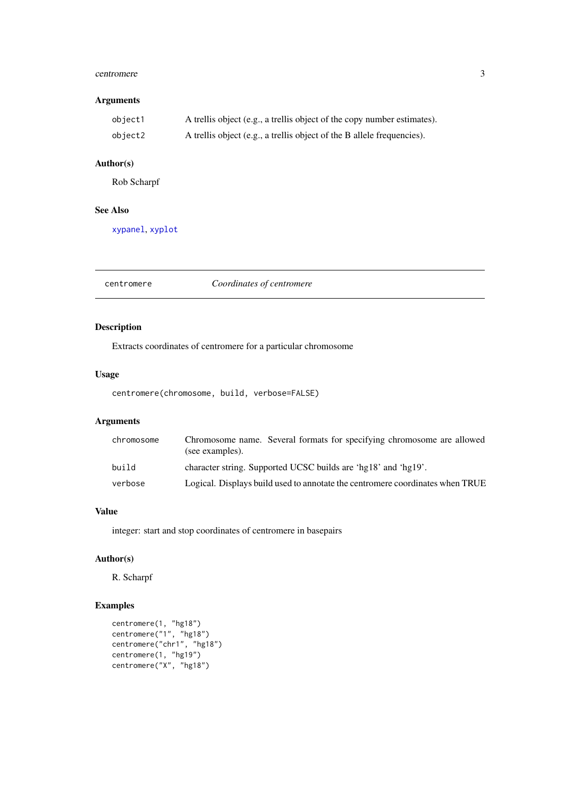#### <span id="page-2-0"></span>centromere 3

# Arguments

| object1 | A trellis object (e.g., a trellis object of the copy number estimates). |
|---------|-------------------------------------------------------------------------|
| object2 | A trellis object (e.g., a trellis object of the B allele frequencies).  |

# Author(s)

Rob Scharpf

# See Also

[xypanel](#page-6-1), [xyplot](#page-9-1)

centromere *Coordinates of centromere*

# Description

Extracts coordinates of centromere for a particular chromosome

# Usage

centromere(chromosome, build, verbose=FALSE)

# Arguments

| chromosome | Chromosome name. Several formats for specifying chromosome are allowed<br>(see examples). |
|------------|-------------------------------------------------------------------------------------------|
| build      | character string. Supported UCSC builds are 'hg18' and 'hg19'.                            |
| verbose    | Logical. Displays build used to annotate the centromere coordinates when TRUE             |

# Value

integer: start and stop coordinates of centromere in basepairs

# Author(s)

R. Scharpf

```
centromere(1, "hg18")
centromere("1", "hg18")
centromere("chr1", "hg18")
centromere(1, "hg19")
centromere("X", "hg18")
```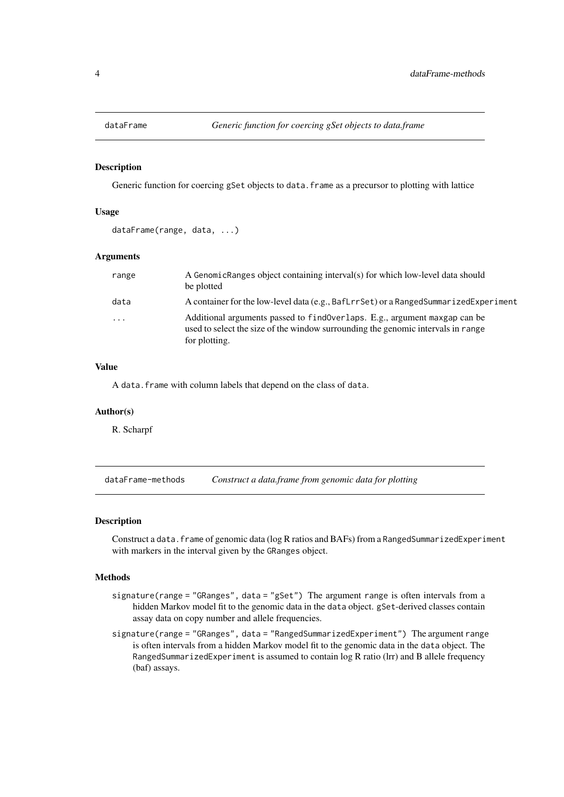<span id="page-3-0"></span>

#### Description

Generic function for coercing gSet objects to data.frame as a precursor to plotting with lattice

# Usage

```
dataFrame(range, data, ...)
```
#### Arguments

| range    | A Genomic Ranges object containing interval(s) for which low-level data should<br>be plotted                                                                                    |
|----------|---------------------------------------------------------------------------------------------------------------------------------------------------------------------------------|
| data     | A container for the low-level data (e.g., BafLrrSet) or a RangedSummarizedExperiment                                                                                            |
| $\cdots$ | Additional arguments passed to find Overlaps. E.g., argument maxgap can be<br>used to select the size of the window surrounding the genomic intervals in range<br>for plotting. |

# Value

A data.frame with column labels that depend on the class of data.

#### Author(s)

R. Scharpf

dataFrame-methods *Construct a data.frame from genomic data for plotting*

#### Description

Construct a data. frame of genomic data (log R ratios and BAFs) from a RangedSummarizedExperiment with markers in the interval given by the GRanges object.

# **Methods**

- signature(range = "GRanges", data = "gSet") The argument range is often intervals from a hidden Markov model fit to the genomic data in the data object. gSet-derived classes contain assay data on copy number and allele frequencies.
- signature(range = "GRanges", data = "RangedSummarizedExperiment") The argument range is often intervals from a hidden Markov model fit to the genomic data in the data object. The RangedSummarizedExperiment is assumed to contain log R ratio (lrr) and B allele frequency (baf) assays.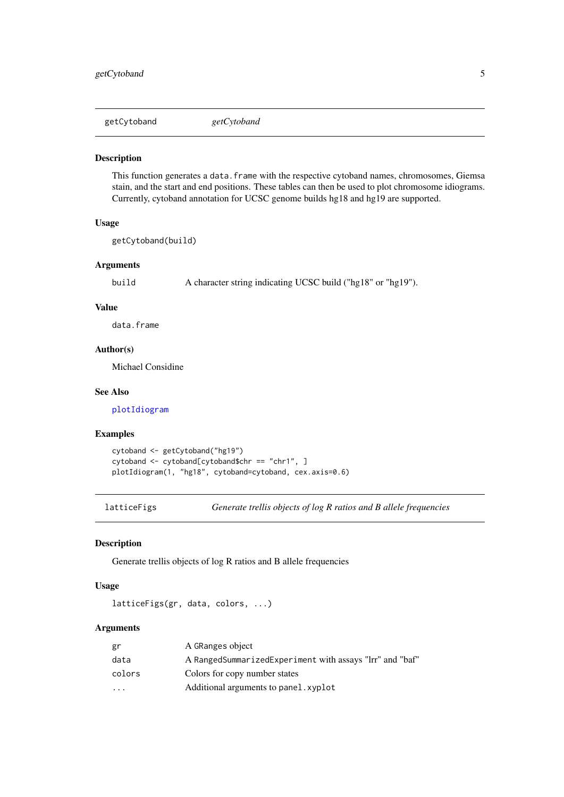<span id="page-4-0"></span>getCytoband *getCytoband*

#### Description

This function generates a data. frame with the respective cytoband names, chromosomes, Giemsa stain, and the start and end positions. These tables can then be used to plot chromosome idiograms. Currently, cytoband annotation for UCSC genome builds hg18 and hg19 are supported.

# Usage

```
getCytoband(build)
```
# Arguments

build A character string indicating UCSC build ("hg18" or "hg19").

# Value

data.frame

#### Author(s)

Michael Considine

# See Also

[plotIdiogram](#page-5-1)

#### Examples

```
cytoband <- getCytoband("hg19")
cytoband <- cytoband[cytoband$chr == "chr1", ]
plotIdiogram(1, "hg18", cytoband=cytoband, cex.axis=0.6)
```
latticeFigs *Generate trellis objects of log R ratios and B allele frequencies*

### Description

Generate trellis objects of log R ratios and B allele frequencies

# Usage

```
latticeFigs(gr, data, colors, ...)
```

| A GRanges object                                         |
|----------------------------------------------------------|
| A RangedSummarizedExperiment with assays "lrr" and "baf" |
| Colors for copy number states                            |
| Additional arguments to panel. xyplot                    |
|                                                          |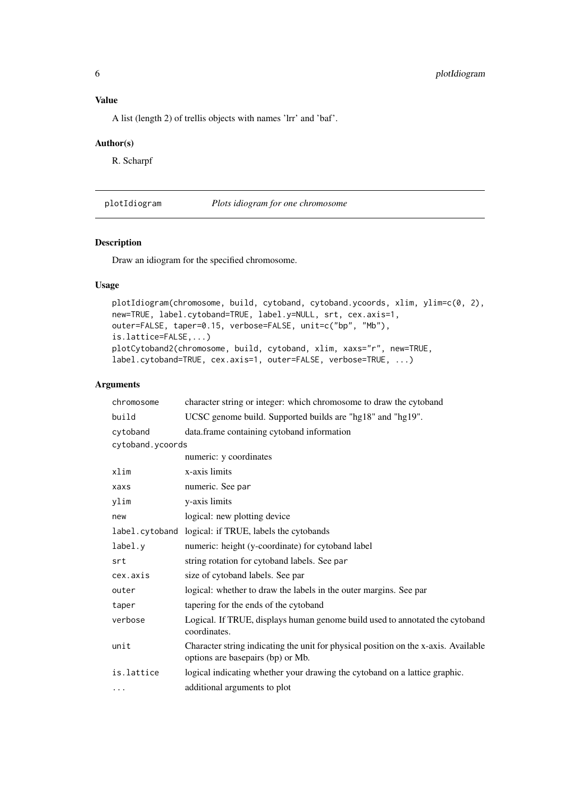# <span id="page-5-0"></span>Value

A list (length 2) of trellis objects with names 'lrr' and 'baf'.

#### Author(s)

R. Scharpf

<span id="page-5-1"></span>plotIdiogram *Plots idiogram for one chromosome*

# Description

Draw an idiogram for the specified chromosome.

# Usage

```
plotIdiogram(chromosome, build, cytoband, cytoband.ycoords, xlim, ylim=c(0, 2),
new=TRUE, label.cytoband=TRUE, label.y=NULL, srt, cex.axis=1,
outer=FALSE, taper=0.15, verbose=FALSE, unit=c("bp", "Mb"),
is.lattice=FALSE,...)
plotCytoband2(chromosome, build, cytoband, xlim, xaxs="r", new=TRUE,
label.cytoband=TRUE, cex.axis=1, outer=FALSE, verbose=TRUE, ...)
```

| chromosome       | character string or integer: which chromosome to draw the cytoband                                                       |  |  |  |  |  |  |
|------------------|--------------------------------------------------------------------------------------------------------------------------|--|--|--|--|--|--|
| build            | UCSC genome build. Supported builds are "hg18" and "hg19".                                                               |  |  |  |  |  |  |
| cytoband         | data.frame containing cytoband information                                                                               |  |  |  |  |  |  |
| cytoband.ycoords |                                                                                                                          |  |  |  |  |  |  |
|                  | numeric: y coordinates                                                                                                   |  |  |  |  |  |  |
| xlim             | x-axis limits                                                                                                            |  |  |  |  |  |  |
| xaxs             | numeric. See par                                                                                                         |  |  |  |  |  |  |
| ylim             | y-axis limits                                                                                                            |  |  |  |  |  |  |
| new              | logical: new plotting device                                                                                             |  |  |  |  |  |  |
|                  | label.cytoband logical: if TRUE, labels the cytobands                                                                    |  |  |  |  |  |  |
| label.y          | numeric: height (y-coordinate) for cytoband label                                                                        |  |  |  |  |  |  |
| srt              | string rotation for cytoband labels. See par                                                                             |  |  |  |  |  |  |
| cex.axis         | size of cytoband labels. See par                                                                                         |  |  |  |  |  |  |
| outer            | logical: whether to draw the labels in the outer margins. See par                                                        |  |  |  |  |  |  |
| taper            | tapering for the ends of the cytoband                                                                                    |  |  |  |  |  |  |
| verbose          | Logical. If TRUE, displays human genome build used to annotated the cytoband<br>coordinates.                             |  |  |  |  |  |  |
| unit             | Character string indicating the unit for physical position on the x-axis. Available<br>options are basepairs (bp) or Mb. |  |  |  |  |  |  |
| is.lattice       | logical indicating whether your drawing the cytoband on a lattice graphic.                                               |  |  |  |  |  |  |
| .                | additional arguments to plot                                                                                             |  |  |  |  |  |  |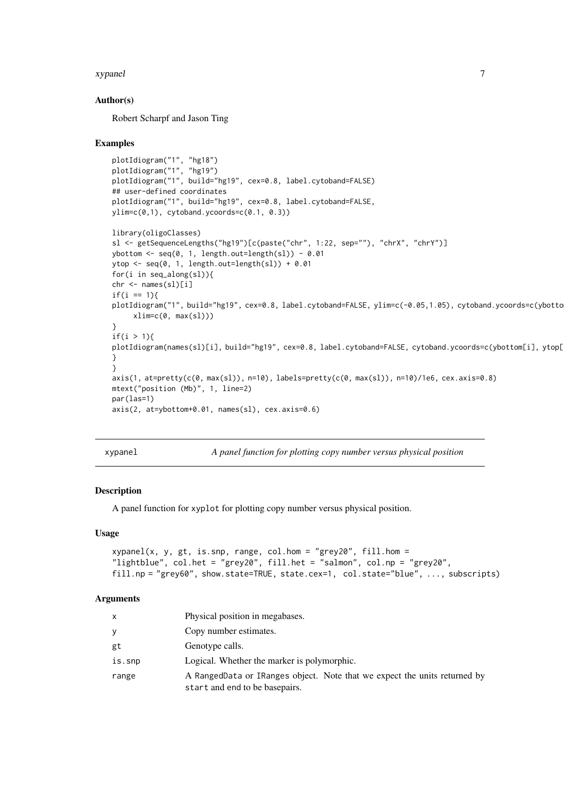#### <span id="page-6-0"></span>xypanel 7

#### Author(s)

Robert Scharpf and Jason Ting

#### Examples

```
plotIdiogram("1", "hg18")
plotIdiogram("1", "hg19")
plotIdiogram("1", build="hg19", cex=0.8, label.cytoband=FALSE)
## user-defined coordinates
plotIdiogram("1", build="hg19", cex=0.8, label.cytoband=FALSE,
ylim=c(0,1), cytoband.ycoords=c(0.1, 0.3))
library(oligoClasses)
```

```
sl <- getSequenceLengths("hg19")[c(paste("chr", 1:22, sep=""), "chrX", "chrY")]
ybottom <- seq(0, 1, length.out=length(sl)) - 0.01
ytop <- seq(0, 1, length.out=length(sl)) + 0.01
for(i in seq_along(sl)){
chr <- names(sl)[i]
if(i == 1){
plotIdiogram("1", build="hg19", cex=0.8, label.cytoband=FALSE, ylim=c(-0.05,1.05), cytoband.ycoords=c(ybotto
     xlim=c(0, max(s1)))}
if(i > 1)plotIdiogram(names(sl)[i], build="hg19", cex=0.8, label.cytoband=FALSE, cytoband.ycoords=c(ybottom[i], ytop[
}
}
axis(1, at=pretty(c(0, max(sl)), n=10), labels=pretty(c(0, max(sl)), n=10)/1e6, cex.axis=0.8)
mtext("position (Mb)", 1, line=2)
par(las=1)
axis(2, at=ybottom+0.01, names(sl), cex.axis=0.6)
```
<span id="page-6-1"></span>xypanel *A panel function for plotting copy number versus physical position*

#### Description

A panel function for xyplot for plotting copy number versus physical position.

#### Usage

```
xypanel(x, y, gt, is.snp, range, col.hom = "grey20", fill.hom =
"lightblue", col.het = "grey20", fill.het = "salmon", col.np = "grey20",
fill.np = "grey60", show.state=TRUE, state.cex=1, col.state="blue", ..., subscripts)
```

| x      | Physical position in megabases.                                                                             |
|--------|-------------------------------------------------------------------------------------------------------------|
| У      | Copy number estimates.                                                                                      |
| gt     | Genotype calls.                                                                                             |
| is.snp | Logical. Whether the marker is polymorphic.                                                                 |
| range  | A RangedData or IRanges object. Note that we expect the units returned by<br>start and end to be basepairs. |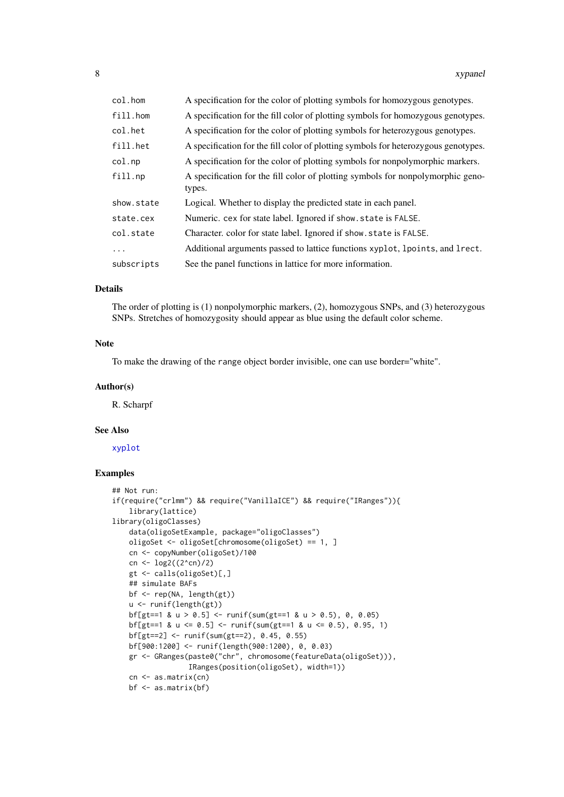<span id="page-7-0"></span>

| col.hom    | A specification for the color of plotting symbols for homozygous genotypes.        |
|------------|------------------------------------------------------------------------------------|
| fill.hom   | A specification for the fill color of plotting symbols for homozygous genotypes.   |
| col.het    | A specification for the color of plotting symbols for heterozygous genotypes.      |
| fill.het   | A specification for the fill color of plotting symbols for heterozygous genotypes. |
| col(np     | A specification for the color of plotting symbols for nonpolymorphic markers.      |
| fill.np    | A specification for the fill color of plotting symbols for nonpolymorphic geno-    |
|            | types.                                                                             |
| show.state | Logical. Whether to display the predicted state in each panel.                     |
| state.cex  | Numeric. cex for state label. Ignored if show. state is FALSE.                     |
| col.state  | Character. color for state label. Ignored if show. state is FALSE.                 |
| $\ddots$ . | Additional arguments passed to lattice functions xyplot, lpoints, and lett.        |
| subscripts | See the panel functions in lattice for more information.                           |

#### Details

The order of plotting is (1) nonpolymorphic markers, (2), homozygous SNPs, and (3) heterozygous SNPs. Stretches of homozygosity should appear as blue using the default color scheme.

#### Note

To make the drawing of the range object border invisible, one can use border="white".

#### Author(s)

R. Scharpf

#### See Also

[xyplot](#page-9-1)

```
## Not run:
if(require("crlmm") && require("VanillaICE") && require("IRanges")){
   library(lattice)
library(oligoClasses)
    data(oligoSetExample, package="oligoClasses")
    oligoSet <- oligoSet[chromosome(oligoSet) == 1, ]
    cn <- copyNumber(oligoSet)/100
    cn <- log2((2^cn)/2)
    gt <- calls(oligoSet)[,]
    ## simulate BAFs
   bf <- rep(NA, length(gt))
    u <- runif(length(gt))
    bf[gt==1 & u > 0.5] < -runif(sum(gt==1 & u > 0.5), 0, 0.05)bf[gt==1 & u <= 0.5] <- runif(sum(gt==1 & u <= 0.5), 0.95, 1)
    bf[gt==2] <- runif(sum(gt==2), 0.45, 0.55)
    bf[900:1200] <- runif(length(900:1200), 0, 0.03)
    gr <- GRanges(paste0("chr", chromosome(featureData(oligoSet))),
                  IRanges(position(oligoSet), width=1))
    cn <- as.matrix(cn)
    bf <- as.matrix(bf)
```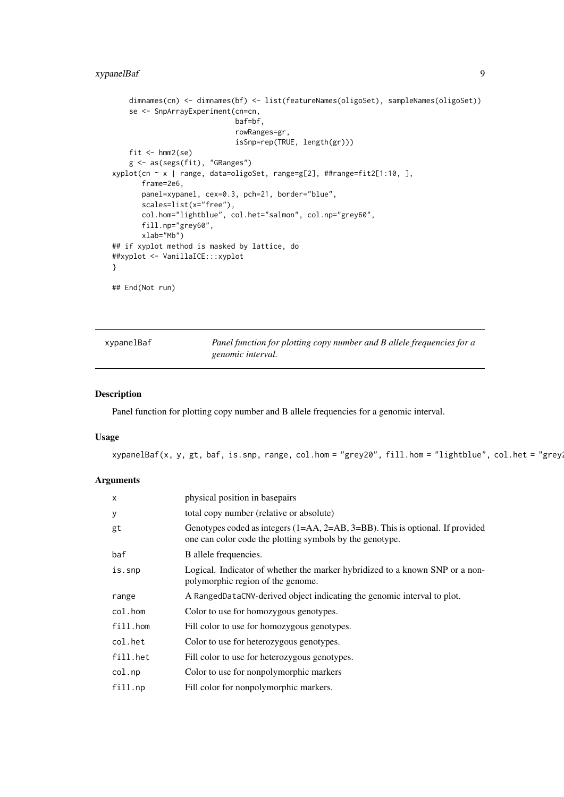# <span id="page-8-0"></span>xypanelBaf 9

```
dimnames(cn) <- dimnames(bf) <- list(featureNames(oligoSet), sampleNames(oligoSet))
    se <- SnpArrayExperiment(cn=cn,
                             baf=bf,
                             rowRanges=gr,
                             isSnp=rep(TRUE, length(gr)))
   fit \leftarrow hmm2(se)
    g <- as(segs(fit), "GRanges")
xyplot(cn ~ x | range, data=oligoSet, range=g[2], ##range=fit2[1:10, ],
       frame=2e6,
       panel=xypanel, cex=0.3, pch=21, border="blue",
       scales=list(x="free"),
       col.hom="lightblue", col.het="salmon", col.np="grey60",
       fill.np="grey60",
       xlab="Mb")
## if xyplot method is masked by lattice, do
##xyplot <- VanillaICE:::xyplot
}
## End(Not run)
```
<span id="page-8-1"></span>

| xypanelBaf | Panel function for plotting copy number and B allele frequencies for a |
|------------|------------------------------------------------------------------------|
|            | genomic interval.                                                      |

#### Description

Panel function for plotting copy number and B allele frequencies for a genomic interval.

#### Usage

xypanelBaf(x, y, gt, baf, is.snp, range, col.hom = "grey20", fill.hom = "lightblue", col.het = "grey

| $\times$ | physical position in basepairs                                                                                                               |
|----------|----------------------------------------------------------------------------------------------------------------------------------------------|
| У        | total copy number (relative or absolute)                                                                                                     |
| gt       | Genotypes coded as integers $(1=AA, 2=AB, 3=BB)$ . This is optional. If provided<br>one can color code the plotting symbols by the genotype. |
| baf      | B allele frequencies.                                                                                                                        |
| is.snp   | Logical. Indicator of whether the marker hybridized to a known SNP or a non-<br>polymorphic region of the genome.                            |
| range    | A RangedDataCNV-derived object indicating the genomic interval to plot.                                                                      |
| col.hom  | Color to use for homozygous genotypes.                                                                                                       |
| fill.hom | Fill color to use for homozygous genotypes.                                                                                                  |
| col.het  | Color to use for heterozygous genotypes.                                                                                                     |
| fill.het | Fill color to use for heterozygous genotypes.                                                                                                |
| col.np   | Color to use for nonpolymorphic markers                                                                                                      |
| fill.np  | Fill color for nonpolymorphic markers.                                                                                                       |
|          |                                                                                                                                              |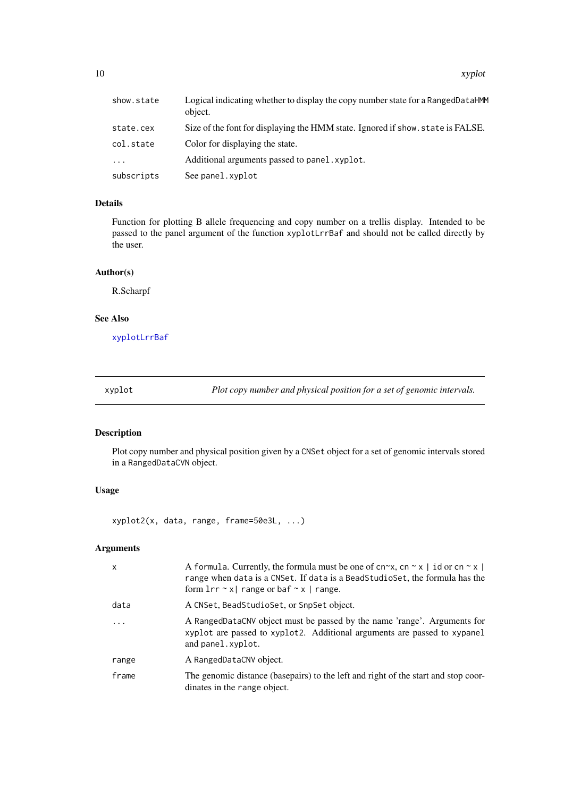<span id="page-9-0"></span>

| show.state | Logical indicating whether to display the copy number state for a RangedDataHMM<br>object. |
|------------|--------------------------------------------------------------------------------------------|
| state.cex  | Size of the font for displaying the HMM state. Ignored if show, state is FALSE.            |
| col.state  | Color for displaying the state.                                                            |
| $\cdots$   | Additional arguments passed to panel, xyplot.                                              |
| subscripts | See panel.xyplot                                                                           |

# Details

Function for plotting B allele frequencing and copy number on a trellis display. Intended to be passed to the panel argument of the function xyplotLrrBaf and should not be called directly by the user.

#### Author(s)

R.Scharpf

## See Also

[xyplotLrrBaf](#page-11-1)

<span id="page-9-1"></span>xyplot *Plot copy number and physical position for a set of genomic intervals.*

# Description

Plot copy number and physical position given by a CNSet object for a set of genomic intervals stored in a RangedDataCVN object.

# Usage

xyplot2(x, data, range, frame=50e3L, ...)

| $\mathsf{x}$ | A formula. Currently, the formula must be one of cn~x, cn ~ x   id or cn ~ x  <br>range when data is a CNSet. If data is a BeadStudioSet, the formula has the<br>form $\text{lrr} \sim x$ range or baf $\sim x$ range. |
|--------------|------------------------------------------------------------------------------------------------------------------------------------------------------------------------------------------------------------------------|
| data         | A CNSet, BeadStudioSet, or SnpSet object.                                                                                                                                                                              |
| $\cdot$      | A RangedDataCNV object must be passed by the name 'range'. Arguments for<br>xyplot are passed to xyplot2. Additional arguments are passed to xypanel<br>and panel.xyplot.                                              |
| range        | A RangedDataCNV object.                                                                                                                                                                                                |
| frame        | The genomic distance (basepairs) to the left and right of the start and stop coor-<br>dinates in the range object.                                                                                                     |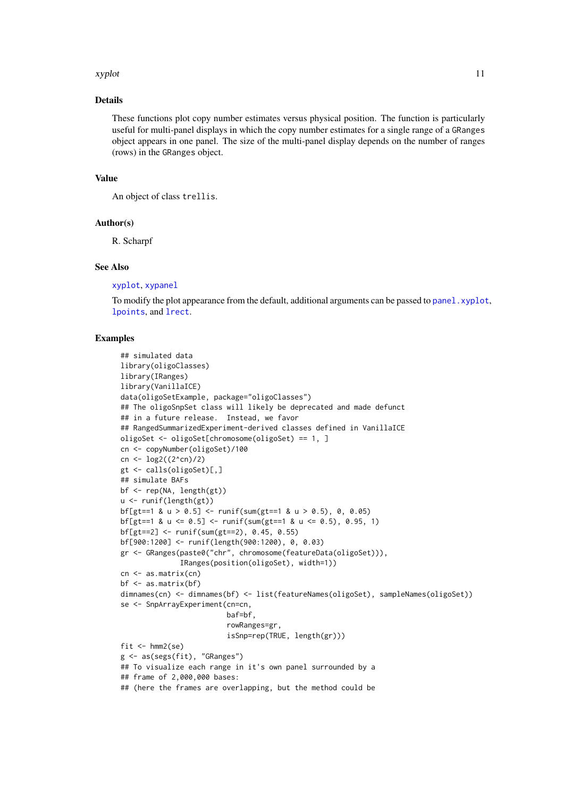#### <span id="page-10-0"></span>xyplot the contract of the contract of the contract of the contract of the contract of the contract of the contract of the contract of the contract of the contract of the contract of the contract of the contract of the con

#### Details

These functions plot copy number estimates versus physical position. The function is particularly useful for multi-panel displays in which the copy number estimates for a single range of a GRanges object appears in one panel. The size of the multi-panel display depends on the number of ranges (rows) in the GRanges object.

# Value

An object of class trellis.

#### Author(s)

R. Scharpf

#### See Also

[xyplot](#page-9-1), [xypanel](#page-6-1)

To modify the plot appearance from the default, additional arguments can be passed to panel. xyplot, [lpoints](#page-0-0), and [lrect](#page-0-0).

```
## simulated data
library(oligoClasses)
library(IRanges)
library(VanillaICE)
data(oligoSetExample, package="oligoClasses")
## The oligoSnpSet class will likely be deprecated and made defunct
## in a future release. Instead, we favor
## RangedSummarizedExperiment-derived classes defined in VanillaICE
oligoSet <- oligoSet[chromosome(oligoSet) == 1, ]
cn <- copyNumber(oligoSet)/100
cn <- \log 2((2^{\wedge}cn)/2)gt <- calls(oligoSet)[,]
## simulate BAFs
bf <- rep(NA, length(gt))
u <- runif(length(gt))
bf[gt==1 & u > 0.5] <- runif(sum(gt==1 & u > 0.5), 0, 0.05)
bf[gt==1 & u <= 0.5] <- runif(sum(gt==1 & u <= 0.5), 0.95, 1)
bf[gt==2] <- runif(sum(gt==2), 0.45, 0.55)
bf[900:1200] <- runif(length(900:1200), 0, 0.03)
gr <- GRanges(paste0("chr", chromosome(featureData(oligoSet))),
              IRanges(position(oligoSet), width=1))
cn <- as.matrix(cn)
bf < - as.matrix(bf)dimnames(cn) <- dimnames(bf) <- list(featureNames(oligoSet), sampleNames(oligoSet))
se <- SnpArrayExperiment(cn=cn,
                         baf=bf,
                         rowRanges=gr,
                         isSnp=rep(TRUE, length(gr)))
fit \leftarrow hmm2(se)
g <- as(segs(fit), "GRanges")
## To visualize each range in it's own panel surrounded by a
## frame of 2,000,000 bases:
## (here the frames are overlapping, but the method could be
```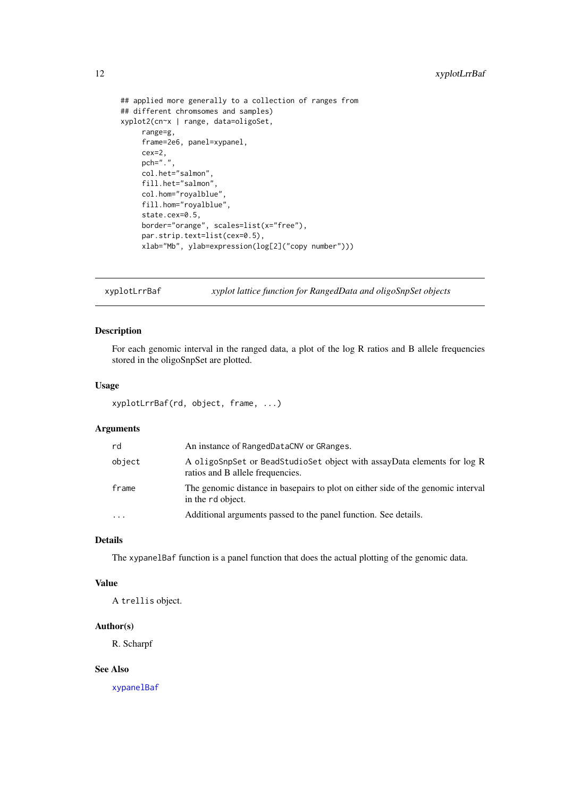```
## applied more generally to a collection of ranges from
## different chromsomes and samples)
xyplot2(cn~x | range, data=oligoSet,
    range=g,
    frame=2e6, panel=xypanel,
    cex=2,
    pch="."
    col.het="salmon",
    fill.het="salmon",
    col.hom="royalblue",
    fill.hom="royalblue",
    state.cex=0.5,
    border="orange", scales=list(x="free"),
    par.strip.text=list(cex=0.5),
    xlab="Mb", ylab=expression(log[2]("copy number")))
```
<span id="page-11-1"></span>xyplotLrrBaf *xyplot lattice function for RangedData and oligoSnpSet objects*

#### Description

For each genomic interval in the ranged data, a plot of the log R ratios and B allele frequencies stored in the oligoSnpSet are plotted.

#### Usage

xyplotLrrBaf(rd, object, frame, ...)

# Arguments

| rd         | An instance of RangedDataCNV or GRanges.                                                                    |
|------------|-------------------------------------------------------------------------------------------------------------|
| object     | A oligoSnpSet or BeadStudioSet object with assayData elements for log R<br>ratios and B allele frequencies. |
| frame      | The genomic distance in basepairs to plot on either side of the genomic interval<br>in the rd object.       |
| $\ddots$ . | Additional arguments passed to the panel function. See details.                                             |

## Details

The xypanelBaf function is a panel function that does the actual plotting of the genomic data.

# Value

A trellis object.

#### Author(s)

R. Scharpf

#### See Also

[xypanelBaf](#page-8-1)

<span id="page-11-0"></span>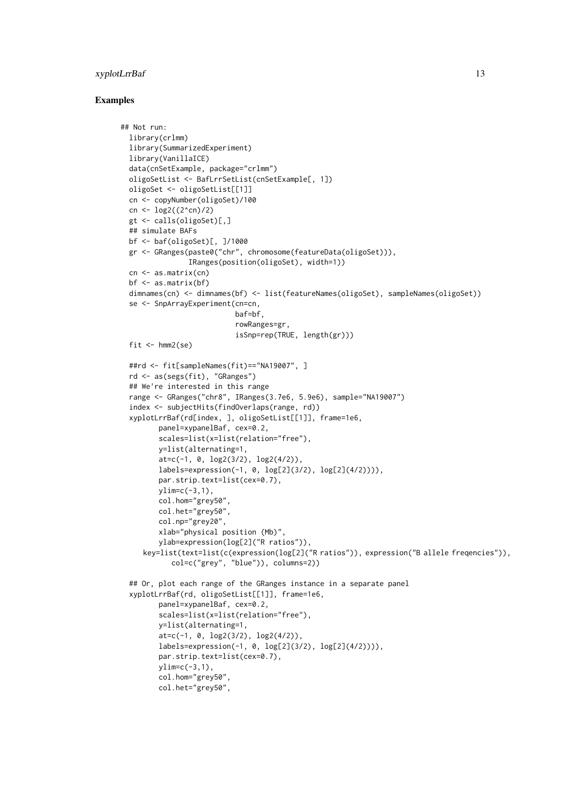#### xyplotLrrBaf 13

```
## Not run:
 library(crlmm)
 library(SummarizedExperiment)
 library(VanillaICE)
 data(cnSetExample, package="crlmm")
 oligoSetList <- BafLrrSetList(cnSetExample[, 1])
 oligoSet <- oligoSetList[[1]]
 cn <- copyNumber(oligoSet)/100
 cn <- log2((2^cn)/2)
 gt <- calls(oligoSet)[,]
 ## simulate BAFs
 bf <- baf(oligoSet)[, ]/1000
 gr <- GRanges(paste0("chr", chromosome(featureData(oligoSet))),
                IRanges(position(oligoSet), width=1))
 cn <- as.matrix(cn)
 bf \leftarrow as.matrix(bf)dimnames(cn) <- dimnames(bf) <- list(featureNames(oligoSet), sampleNames(oligoSet))
 se <- SnpArrayExperiment(cn=cn,
                           baf=bf,
                           rowRanges=gr,
                           isSnp=rep(TRUE, length(gr)))
 fit \leftarrow hmm2(se)
 ##rd <- fit[sampleNames(fit)=="NA19007", ]
 rd <- as(segs(fit), "GRanges")
 ## We're interested in this range
 range <- GRanges("chr8", IRanges(3.7e6, 5.9e6), sample="NA19007")
 index <- subjectHits(findOverlaps(range, rd))
 xyplotLrrBaf(rd[index, ], oligoSetList[[1]], frame=1e6,
         panel=xypanelBaf, cex=0.2,
         scales=list(x=list(relation="free"),
        y=list(alternating=1,
        at=c(-1, 0, log2(3/2), log2(4/2)),labels=expression(-1, 0, log[2](3/2), log[2](4/2)))),
         par.strip.text=list(cex=0.7),
        ylim=c(-3,1),
         col.hom="grey50",
        col.het="grey50",
         col.np="grey20",
         xlab="physical position (Mb)",
        ylab=expression(log[2]("R ratios")),
     key=list(text=list(c(expression(log[2]("R ratios")), expression("B allele freqencies")),
            col=c("grey", "blue")), columns=2))
  ## Or, plot each range of the GRanges instance in a separate panel
  xyplotLrrBaf(rd, oligoSetList[[1]], frame=1e6,
         panel=xypanelBaf, cex=0.2,
         scales=list(x=list(relation="free"),
        y=list(alternating=1,
         at=c(-1, 0, log2(3/2), log2(4/2)),
        labels=expression(-1, 0, log[2](3/2), log[2](4/2)))),
         par.strip.text=list(cex=0.7),
        ylim=c(-3,1),
         col.hom="grey50",
         col.het="grey50",
```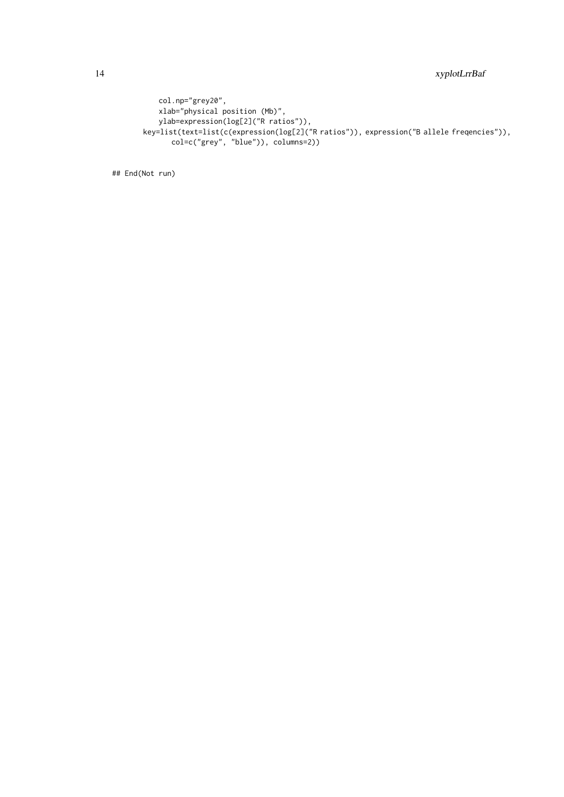```
col.np="grey20",
   xlab="physical position (Mb)",
   ylab=expression(log[2]("R ratios")),
key=list(text=list(c(expression(log[2]("R ratios")), expression("B allele freqencies")),
      col=c("grey", "blue")), columns=2))
```
## End(Not run)